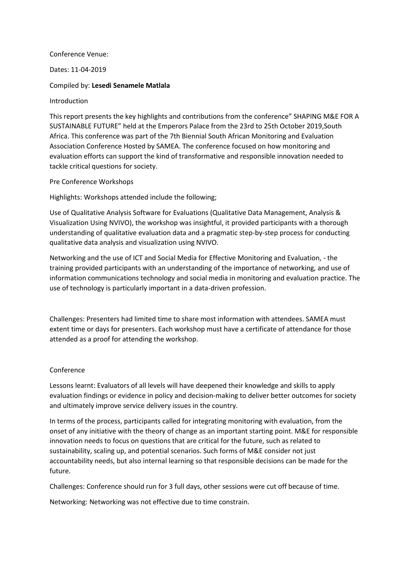Conference Venue:

Dates: 11-04-2019

Compiled by: **Lesedi Senamele Matlala**

Introduction

This report presents the key highlights and contributions from the conference" SHAPING M&E FOR A SUSTAINABLE FUTURE" held at the Emperors Palace from the 23rd to 25th October 2019,South Africa. This conference was part of the 7th Biennial South African Monitoring and Evaluation Association Conference Hosted by SAMEA. The conference focused on how monitoring and evaluation efforts can support the kind of transformative and responsible innovation needed to tackle critical questions for society.

Pre Conference Workshops

Highlights: Workshops attended include the following;

Use of Qualitative Analysis Software for Evaluations (Qualitative Data Management, Analysis & Visualization Using NVIVO), the workshop was insightful, it provided participants with a thorough understanding of qualitative evaluation data and a pragmatic step-by-step process for conducting qualitative data analysis and visualization using NVIVO.

Networking and the use of ICT and Social Media for Effective Monitoring and Evaluation, - the training provided participants with an understanding of the importance of networking, and use of information communications technology and social media in monitoring and evaluation practice. The use of technology is particularly important in a data-driven profession.

Challenges: Presenters had limited time to share most information with attendees. SAMEA must extent time or days for presenters. Each workshop must have a certificate of attendance for those attended as a proof for attending the workshop.

## Conference

Lessons learnt: Evaluators of all levels will have deepened their knowledge and skills to apply evaluation findings or evidence in policy and decision-making to deliver better outcomes for society and ultimately improve service delivery issues in the country.

In terms of the process, participants called for integrating monitoring with evaluation, from the onset of any initiative with the theory of change as an important starting point. M&E for responsible innovation needs to focus on questions that are critical for the future, such as related to sustainability, scaling up, and potential scenarios. Such forms of M&E consider not just accountability needs, but also internal learning so that responsible decisions can be made for the future.

Challenges: Conference should run for 3 full days, other sessions were cut off because of time.

Networking: Networking was not effective due to time constrain.